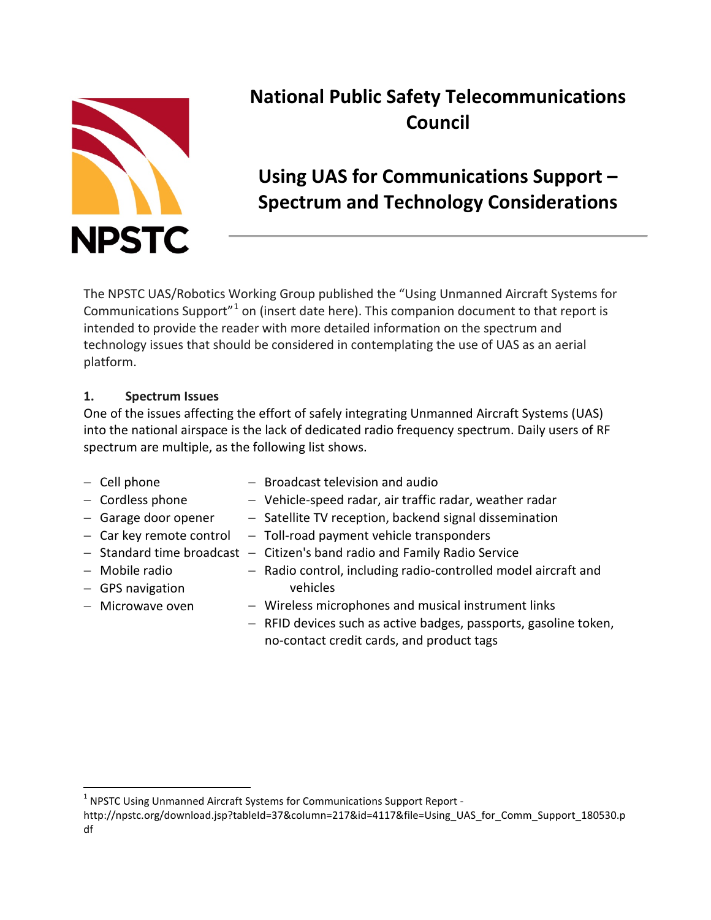

# **National Public Safety Telecommunications Council**

## **Using UAS for Communications Support – Spectrum and Technology Considerations**

The NPSTC UAS/Robotics Working Group published the "Using Unmanned Aircraft Systems for Communications Support"[1](#page-0-0) on (insert date here). This companion document to that report is intended to provide the reader with more detailed information on the spectrum and technology issues that should be considered in contemplating the use of UAS as an aerial platform.

## **1. Spectrum Issues**

One of the issues affecting the effort of safely integrating Unmanned Aircraft Systems (UAS) into the national airspace is the lack of dedicated radio frequency spectrum. Daily users of RF spectrum are multiple, as the following list shows.

| $-$ Cell phone            | - Broadcast television and audio                                 |
|---------------------------|------------------------------------------------------------------|
| - Cordless phone          | - Vehicle-speed radar, air traffic radar, weather radar          |
| - Garage door opener      | - Satellite TV reception, backend signal dissemination           |
| - Car key remote control  | - Toll-road payment vehicle transponders                         |
| - Standard time broadcast | - Citizen's band radio and Family Radio Service                  |
| - Mobile radio            | - Radio control, including radio-controlled model aircraft and   |
| $-$ GPS navigation        | vehicles                                                         |
| - Microwave oven          | - Wireless microphones and musical instrument links              |
|                           | - RFID devices such as active badges, passports, gasoline token, |
|                           | no-contact credit cards, and product tags                        |

<span id="page-0-0"></span><sup>&</sup>lt;sup>1</sup> NPSTC Using Unmanned Aircraft Systems for Communications Support Report -

http://npstc.org/download.jsp?tableId=37&column=217&id=4117&file=Using\_UAS\_for\_Comm\_Support\_180530.p df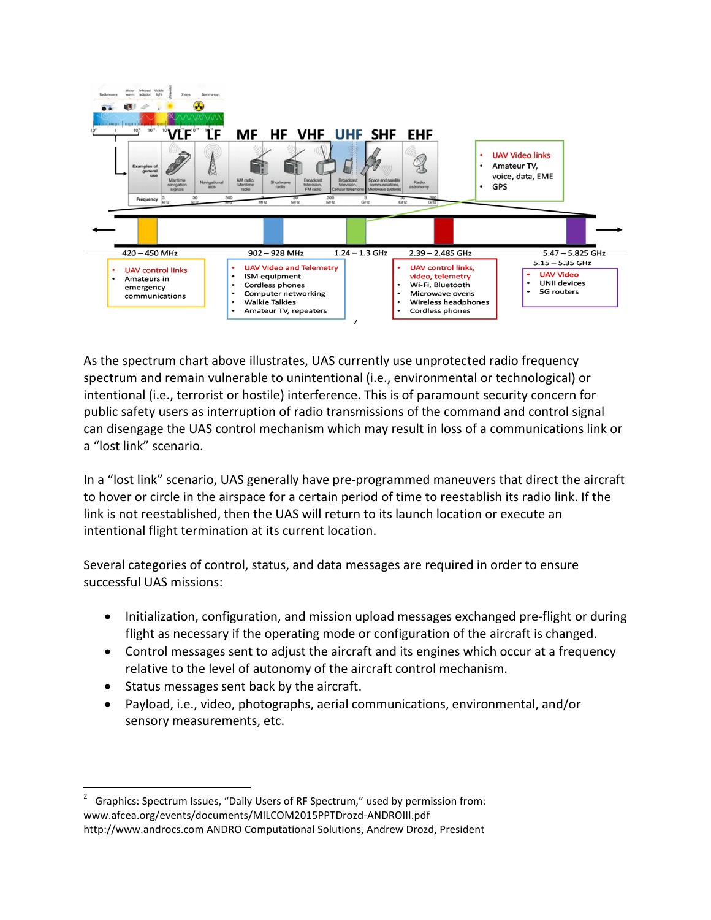

As the spectrum chart above illustrates, UAS currently use unprotected radio frequency spectrum and remain vulnerable to unintentional (i.e., environmental or technological) or intentional (i.e., terrorist or hostile) interference. This is of paramount security concern for public safety users as interruption of radio transmissions of the command and control signal can disengage the UAS control mechanism which may result in loss of a communications link or a "lost link" scenario.

In a "lost link" scenario, UAS generally have pre-programmed maneuvers that direct the aircraft to hover or circle in the airspace for a certain period of time to reestablish its radio link. If the link is not reestablished, then the UAS will return to its launch location or execute an intentional flight termination at its current location.

Several categories of control, status, and data messages are required in order to ensure successful UAS missions:

- Initialization, configuration, and mission upload messages exchanged pre‐flight or during flight as necessary if the operating mode or configuration of the aircraft is changed.
- Control messages sent to adjust the aircraft and its engines which occur at a frequency relative to the level of autonomy of the aircraft control mechanism.
- Status messages sent back by the aircraft.
- Payload, i.e., video, photographs, aerial communications, environmental, and/or sensory measurements, etc.

<span id="page-1-0"></span> $\frac{1}{2}$  Graphics: Spectrum Issues, "Daily Users of RF Spectrum," used by permission from: www.afcea.org/events/documents/MILCOM2015PPTDrozd-ANDROIII.pdf http://www.androcs.com ANDRO Computational Solutions, Andrew Drozd, President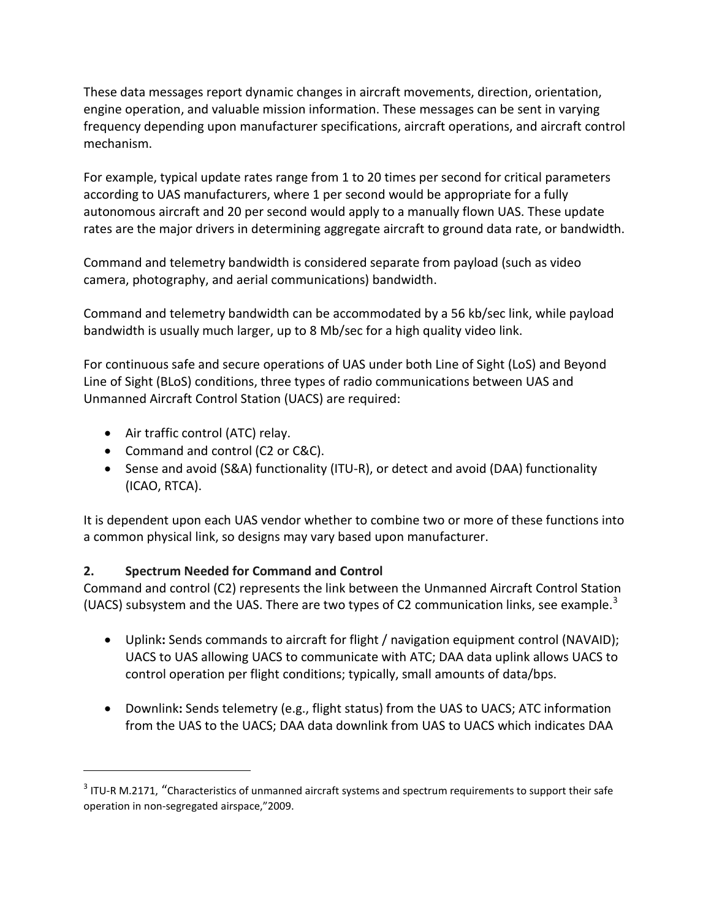These data messages report dynamic changes in aircraft movements, direction, orientation, engine operation, and valuable mission information. These messages can be sent in varying frequency depending upon manufacturer specifications, aircraft operations, and aircraft control mechanism.

For example, typical update rates range from 1 to 20 times per second for critical parameters according to UAS manufacturers, where 1 per second would be appropriate for a fully autonomous aircraft and 20 per second would apply to a manually flown UAS. These update rates are the major drivers in determining aggregate aircraft to ground data rate, or bandwidth.

Command and telemetry bandwidth is considered separate from payload (such as video camera, photography, and aerial communications) bandwidth.

Command and telemetry bandwidth can be accommodated by a 56 kb/sec link, while payload bandwidth is usually much larger, up to 8 Mb/sec for a high quality video link.

For continuous safe and secure operations of UAS under both Line of Sight (LoS) and Beyond Line of Sight (BLoS) conditions, three types of radio communications between UAS and Unmanned Aircraft Control Station (UACS) are required:

• Air traffic control (ATC) relay.

 $\overline{\phantom{a}}$ 

- Command and control (C2 or C&C).
- Sense and avoid (S&A) functionality (ITU-R), or detect and avoid (DAA) functionality (ICAO, RTCA).

It is dependent upon each UAS vendor whether to combine two or more of these functions into a common physical link, so designs may vary based upon manufacturer.

## **2. Spectrum Needed for Command and Control**

Command and control (C2) represents the link between the Unmanned Aircraft Control Station (UACS) subsystem and the UAS. There are two types of C2 communication links, see example.<sup>[3](#page-2-0)</sup>

- Uplink**:** Sends commands to aircraft for flight / navigation equipment control (NAVAID); UACS to UAS allowing UACS to communicate with ATC; DAA data uplink allows UACS to control operation per flight conditions; typically, small amounts of data/bps.
- Downlink**:** Sends telemetry (e.g., flight status) from the UAS to UACS; ATC information from the UAS to the UACS; DAA data downlink from UAS to UACS which indicates DAA

<span id="page-2-0"></span> $3$  ITU-R M.2171, "Characteristics of unmanned aircraft systems and spectrum requirements to support their safe operation in non-segregated airspace,"2009.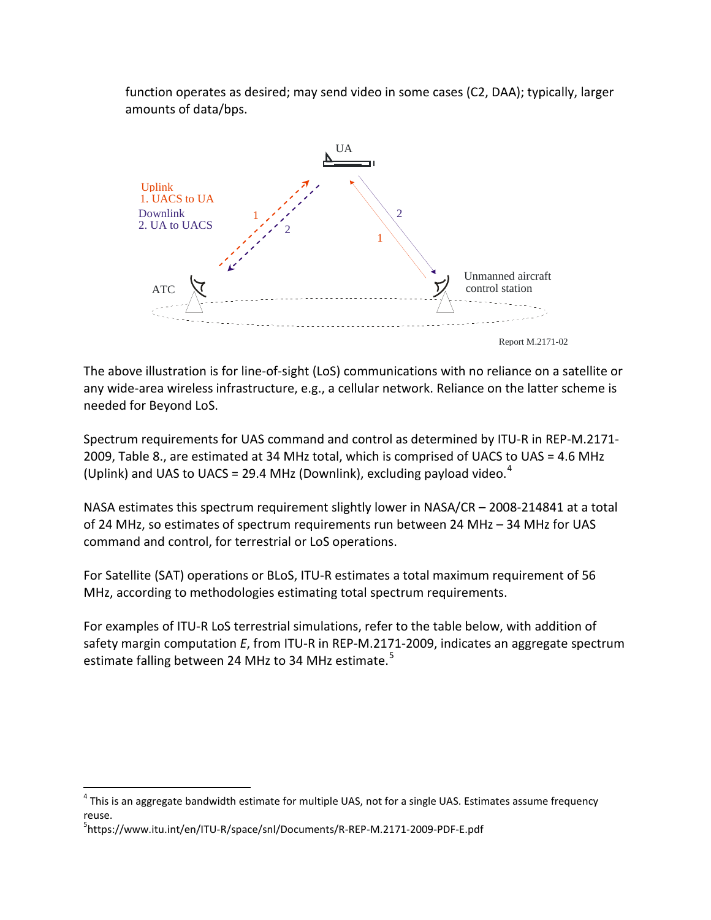function operates as desired; may send video in some cases (C2, DAA); typically, larger amounts of data/bps.



The above illustration is for line-of-sight (LoS) communications with no reliance on a satellite or any wide-area wireless infrastructure, e.g., a cellular network. Reliance on the latter scheme is needed for Beyond LoS.

Spectrum requirements for UAS command and control as determined by ITU-R in REP-M.2171-2009, Table 8., are estimated at 34 MHz total, which is comprised of UACS to UAS = 4.6 MHz (Uplink) and UAS to UACS = 29.[4](#page-3-0) MHz (Downlink), excluding payload video.<sup>4</sup>

NASA estimates this spectrum requirement slightly lower in NASA/CR – 2008-214841 at a total of 24 MHz, so estimates of spectrum requirements run between 24 MHz – 34 MHz for UAS command and control, for terrestrial or LoS operations.

For Satellite (SAT) operations or BLoS, ITU-R estimates a total maximum requirement of 56 MHz, according to methodologies estimating total spectrum requirements.

For examples of ITU-R LoS terrestrial simulations, refer to the table below, with addition of safety margin computation *E*, from ITU-R in REP-M.2171-2009, indicates an aggregate spectrum estimate falling between 24 MHz to 34 MHz estimate.<sup>[5](#page-3-1)</sup>

<span id="page-3-0"></span> $4$  This is an aggregate bandwidth estimate for multiple UAS, not for a single UAS. Estimates assume frequency reuse.

<span id="page-3-1"></span><sup>5</sup> https://www.itu.int/en/ITU-R/space/snl/Documents/R-REP-M.2171-2009-PDF-E.pdf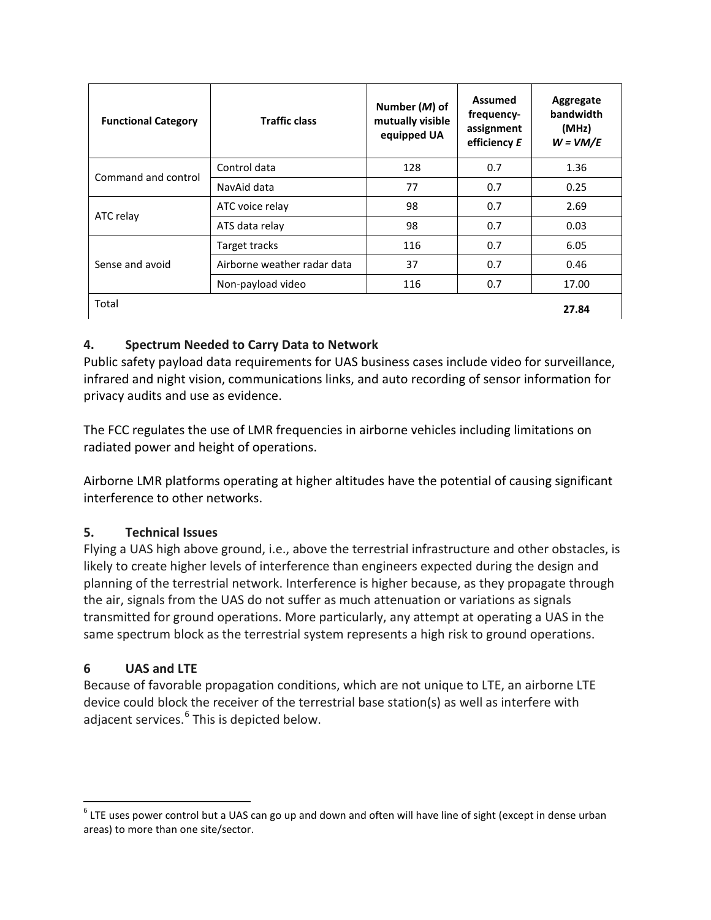| <b>Functional Category</b> | <b>Traffic class</b>        | Number (M) of<br>mutually visible<br>equipped UA | <b>Assumed</b><br>frequency-<br>assignment<br>efficiency E | Aggregate<br>bandwidth<br>(MHz)<br>$W = VM/E$ |
|----------------------------|-----------------------------|--------------------------------------------------|------------------------------------------------------------|-----------------------------------------------|
| Command and control        | Control data                | 128                                              | 0.7                                                        | 1.36                                          |
|                            | NavAid data                 | 77                                               | 0.7                                                        | 0.25                                          |
|                            | ATC voice relay             | 98                                               | 0.7                                                        | 2.69                                          |
| ATC relay                  | ATS data relay              | 98                                               | 0.7                                                        | 0.03                                          |
| Sense and avoid            | Target tracks               | 116                                              | 0.7                                                        | 6.05                                          |
|                            | Airborne weather radar data | 37                                               | 0.7                                                        | 0.46                                          |
|                            | Non-payload video           | 116                                              | 0.7                                                        | 17.00                                         |
| Total                      |                             |                                                  |                                                            | 27.84                                         |

## **4. Spectrum Needed to Carry Data to Network**

Public safety payload data requirements for UAS business cases include video for surveillance, infrared and night vision, communications links, and auto recording of sensor information for privacy audits and use as evidence.

The FCC regulates the use of LMR frequencies in airborne vehicles including limitations on radiated power and height of operations.

Airborne LMR platforms operating at higher altitudes have the potential of causing significant interference to other networks.

## **5. Technical Issues**

Flying a UAS high above ground, i.e., above the terrestrial infrastructure and other obstacles, is likely to create higher levels of interference than engineers expected during the design and planning of the terrestrial network. Interference is higher because, as they propagate through the air, signals from the UAS do not suffer as much attenuation or variations as signals transmitted for ground operations. More particularly, any attempt at operating a UAS in the same spectrum block as the terrestrial system represents a high risk to ground operations.

## **6 UAS and LTE**

Because of favorable propagation conditions, which are not unique to LTE, an airborne LTE device could block the receiver of the terrestrial base station(s) as well as interfere with adjacent services.<sup>[6](#page-4-0)</sup> This is depicted below.

<span id="page-4-0"></span> $6$  LTE uses power control but a UAS can go up and down and often will have line of sight (except in dense urban areas) to more than one site/sector.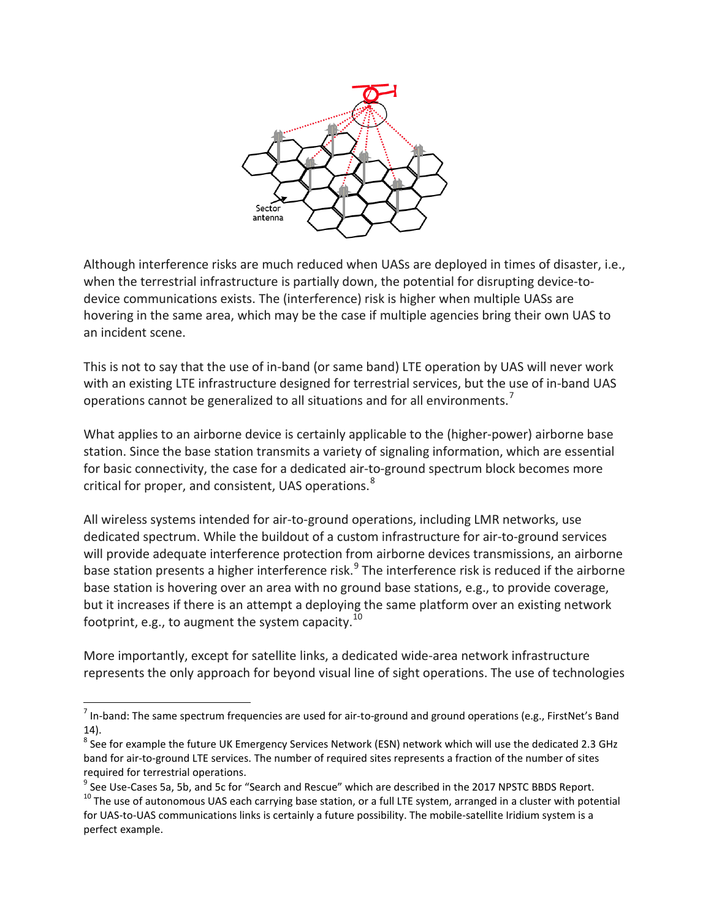

Although interference risks are much reduced when UASs are deployed in times of disaster, i.e., when the terrestrial infrastructure is partially down, the potential for disrupting device-todevice communications exists. The (interference) risk is higher when multiple UASs are hovering in the same area, which may be the case if multiple agencies bring their own UAS to an incident scene.

This is not to say that the use of in-band (or same band) LTE operation by UAS will never work with an existing LTE infrastructure designed for terrestrial services, but the use of in-band UAS operations cannot be generalized to all situations and for all environments.<sup>[7](#page-5-0)</sup>

What applies to an airborne device is certainly applicable to the (higher-power) airborne base station. Since the base station transmits a variety of signaling information, which are essential for basic connectivity, the case for a dedicated air-to-ground spectrum block becomes more critical for proper, and consistent, UAS operations.<sup>[8](#page-5-1)</sup>

All wireless systems intended for air-to-ground operations, including LMR networks, use dedicated spectrum. While the buildout of a custom infrastructure for air-to-ground services will provide adequate interference protection from airborne devices transmissions, an airborne base station presents a higher interference risk.<sup>[9](#page-5-2)</sup> The interference risk is reduced if the airborne base station is hovering over an area with no ground base stations, e.g., to provide coverage, but it increases if there is an attempt a deploying the same platform over an existing network footprint, e.g., to augment the system capacity.  $^{10}$  $^{10}$  $^{10}$ 

More importantly, except for satellite links, a dedicated wide-area network infrastructure represents the only approach for beyond visual line of sight operations. The use of technologies

<span id="page-5-0"></span> $<sup>7</sup>$  In-band: The same spectrum frequencies are used for air-to-ground and ground operations (e.g., FirstNet's Band</sup> 14).<br><sup>8</sup> See for example the future UK Emergency Services Network (ESN) network which will use the dedicated 2.3 GHz

<span id="page-5-1"></span>band for air-to-ground LTE services. The number of required sites represents a fraction of the number of sites

<span id="page-5-2"></span>required for terrestrial operations.<br><sup>9</sup> See Use-Cases 5a, 5b, and 5c for "Search and Rescue" which are described in the 2017 NPSTC BBDS Report.<br><sup>10</sup> The use of autonomous UAS each carrying base station, or a full LTE syst

<span id="page-5-3"></span>for UAS-to-UAS communications links is certainly a future possibility. The mobile-satellite Iridium system is a perfect example.